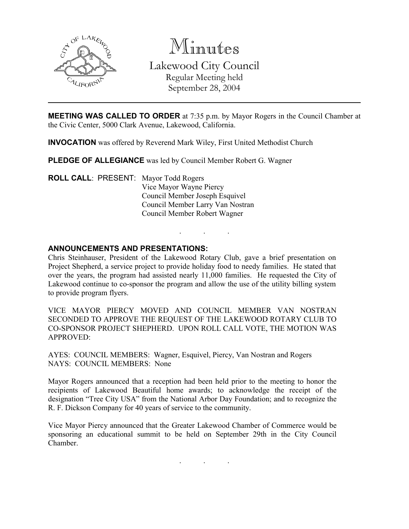

Minutes Lakewood City Council Regular Meeting held

September 28, 2004

MEETING WAS CALLED TO ORDER at 7:35 p.m. by Mayor Rogers in the Council Chamber at the Civic Center, 5000 Clark Avenue, Lakewood, California.

INVOCATION was offered by Reverend Mark Wiley, First United Methodist Church

PLEDGE OF ALLEGIANCE was led by Council Member Robert G. Wagner

ROLL CALL: PRESENT: Mayor Todd Rogers Vice Mayor Wayne Piercy Council Member Joseph Esquivel Council Member Larry Van Nostran Council Member Robert Wagner

## ANNOUNCEMENTS AND PRESENTATIONS:

Chris Steinhauser, President of the Lakewood Rotary Club, gave a brief presentation on Project Shepherd, a service project to provide holiday food to needy families. He stated that over the years, the program had assisted nearly 11,000 families. He requested the City of Lakewood continue to co-sponsor the program and allow the use of the utility billing system to provide program flyers.

. . .

VICE MAYOR PIERCY MOVED AND COUNCIL MEMBER VAN NOSTRAN SECONDED TO APPROVE THE REQUEST OF THE LAKEWOOD ROTARY CLUB TO CO-SPONSOR PROJECT SHEPHERD. UPON ROLL CALL VOTE, THE MOTION WAS APPROVED:

AYES: COUNCIL MEMBERS: Wagner, Esquivel, Piercy, Van Nostran and Rogers NAYS: COUNCIL MEMBERS: None

Mayor Rogers announced that a reception had been held prior to the meeting to honor the recipients of Lakewood Beautiful home awards; to acknowledge the receipt of the designation "Tree City USA" from the National Arbor Day Foundation; and to recognize the R. F. Dickson Company for 40 years of service to the community.

Vice Mayor Piercy announced that the Greater Lakewood Chamber of Commerce would be sponsoring an educational summit to be held on September 29th in the City Council Chamber.

. . .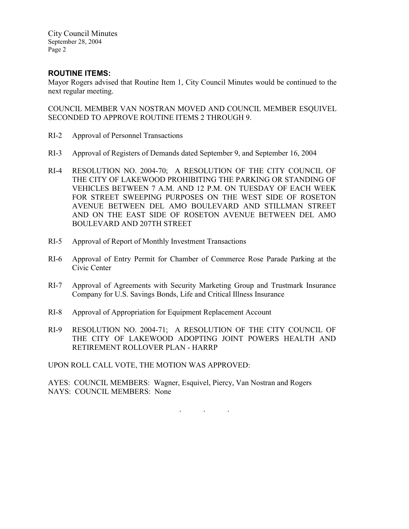City Council Minutes September 28, 2004 Page 2

## ROUTINE ITEMS:

Mayor Rogers advised that Routine Item 1, City Council Minutes would be continued to the next regular meeting.

COUNCIL MEMBER VAN NOSTRAN MOVED AND COUNCIL MEMBER ESQUIVEL SECONDED TO APPROVE ROUTINE ITEMS 2 THROUGH 9.

- RI-2 Approval of Personnel Transactions
- RI-3 Approval of Registers of Demands dated September 9, and September 16, 2004
- RI-4 RESOLUTION NO. 2004-70; A RESOLUTION OF THE CITY COUNCIL OF THE CITY OF LAKEWOOD PROHIBITING THE PARKING OR STANDING OF VEHICLES BETWEEN 7 A.M. AND 12 P.M. ON TUESDAY OF EACH WEEK FOR STREET SWEEPING PURPOSES ON THE WEST SIDE OF ROSETON AVENUE BETWEEN DEL AMO BOULEVARD AND STILLMAN STREET AND ON THE EAST SIDE OF ROSETON AVENUE BETWEEN DEL AMO BOULEVARD AND 207TH STREET
- RI-5 Approval of Report of Monthly Investment Transactions
- RI-6 Approval of Entry Permit for Chamber of Commerce Rose Parade Parking at the Civic Center
- RI-7 Approval of Agreements with Security Marketing Group and Trustmark Insurance Company for U.S. Savings Bonds, Life and Critical Illness Insurance
- RI-8 Approval of Appropriation for Equipment Replacement Account
- RI-9 RESOLUTION NO. 2004-71; A RESOLUTION OF THE CITY COUNCIL OF THE CITY OF LAKEWOOD ADOPTING JOINT POWERS HEALTH AND RETIREMENT ROLLOVER PLAN - HARRP

UPON ROLL CALL VOTE, THE MOTION WAS APPROVED:

AYES: COUNCIL MEMBERS: Wagner, Esquivel, Piercy, Van Nostran and Rogers NAYS: COUNCIL MEMBERS: None

. . .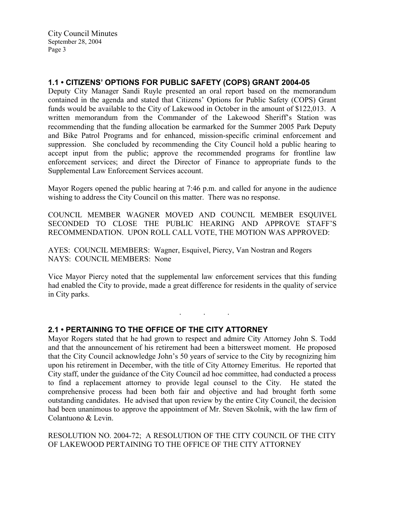### 1.1 • CITIZENS' OPTIONS FOR PUBLIC SAFETY (COPS) GRANT 2004-05

Deputy City Manager Sandi Ruyle presented an oral report based on the memorandum contained in the agenda and stated that Citizens' Options for Public Safety (COPS) Grant funds would be available to the City of Lakewood in October in the amount of \$122,013. A written memorandum from the Commander of the Lakewood Sheriff's Station was recommending that the funding allocation be earmarked for the Summer 2005 Park Deputy and Bike Patrol Programs and for enhanced, mission-specific criminal enforcement and suppression. She concluded by recommending the City Council hold a public hearing to accept input from the public; approve the recommended programs for frontline law enforcement services; and direct the Director of Finance to appropriate funds to the Supplemental Law Enforcement Services account.

Mayor Rogers opened the public hearing at 7:46 p.m. and called for anyone in the audience wishing to address the City Council on this matter. There was no response.

COUNCIL MEMBER WAGNER MOVED AND COUNCIL MEMBER ESQUIVEL SECONDED TO CLOSE THE PUBLIC HEARING AND APPROVE STAFF'S RECOMMENDATION. UPON ROLL CALL VOTE, THE MOTION WAS APPROVED:

AYES: COUNCIL MEMBERS: Wagner, Esquivel, Piercy, Van Nostran and Rogers NAYS: COUNCIL MEMBERS: None

Vice Mayor Piercy noted that the supplemental law enforcement services that this funding had enabled the City to provide, made a great difference for residents in the quality of service in City parks.

. . .

### 2.1 • PERTAINING TO THE OFFICE OF THE CITY ATTORNEY

Mayor Rogers stated that he had grown to respect and admire City Attorney John S. Todd and that the announcement of his retirement had been a bittersweet moment. He proposed that the City Council acknowledge John's 50 years of service to the City by recognizing him upon his retirement in December, with the title of City Attorney Emeritus. He reported that City staff, under the guidance of the City Council ad hoc committee, had conducted a process to find a replacement attorney to provide legal counsel to the City. He stated the comprehensive process had been both fair and objective and had brought forth some outstanding candidates. He advised that upon review by the entire City Council, the decision had been unanimous to approve the appointment of Mr. Steven Skolnik, with the law firm of Colantuono & Levin.

RESOLUTION NO. 2004-72; A RESOLUTION OF THE CITY COUNCIL OF THE CITY OF LAKEWOOD PERTAINING TO THE OFFICE OF THE CITY ATTORNEY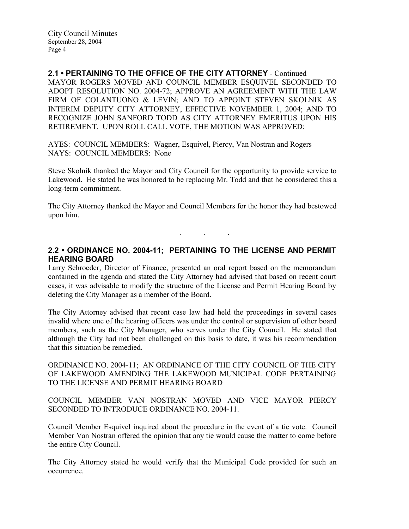2.1 • PERTAINING TO THE OFFICE OF THE CITY ATTORNEY - Continued MAYOR ROGERS MOVED AND COUNCIL MEMBER ESQUIVEL SECONDED TO ADOPT RESOLUTION NO. 2004-72; APPROVE AN AGREEMENT WITH THE LAW FIRM OF COLANTUONO & LEVIN: AND TO APPOINT STEVEN SKOLNIK AS INTERIM DEPUTY CITY ATTORNEY, EFFECTIVE NOVEMBER 1, 2004; AND TO RECOGNIZE JOHN SANFORD TODD AS CITY ATTORNEY EMERITUS UPON HIS RETIREMENT. UPON ROLL CALL VOTE, THE MOTION WAS APPROVED:

AYES: COUNCIL MEMBERS: Wagner, Esquivel, Piercy, Van Nostran and Rogers NAYS: COUNCIL MEMBERS: None

Steve Skolnik thanked the Mayor and City Council for the opportunity to provide service to Lakewood. He stated he was honored to be replacing Mr. Todd and that he considered this a long-term commitment.

The City Attorney thanked the Mayor and Council Members for the honor they had bestowed upon him.

. . .

# 2.2 • ORDINANCE NO. 2004-11; PERTAINING TO THE LICENSE AND PERMIT HEARING BOARD

Larry Schroeder, Director of Finance, presented an oral report based on the memorandum contained in the agenda and stated the City Attorney had advised that based on recent court cases, it was advisable to modify the structure of the License and Permit Hearing Board by deleting the City Manager as a member of the Board.

The City Attorney advised that recent case law had held the proceedings in several cases invalid where one of the hearing officers was under the control or supervision of other board members, such as the City Manager, who serves under the City Council. He stated that although the City had not been challenged on this basis to date, it was his recommendation that this situation be remedied.

ORDINANCE NO. 2004-11; AN ORDINANCE OF THE CITY COUNCIL OF THE CITY OF LAKEWOOD AMENDING THE LAKEWOOD MUNICIPAL CODE PERTAINING TO THE LICENSE AND PERMIT HEARING BOARD

COUNCIL MEMBER VAN NOSTRAN MOVED AND VICE MAYOR PIERCY SECONDED TO INTRODUCE ORDINANCE NO. 2004-11.

Council Member Esquivel inquired about the procedure in the event of a tie vote. Council Member Van Nostran offered the opinion that any tie would cause the matter to come before the entire City Council.

The City Attorney stated he would verify that the Municipal Code provided for such an occurrence.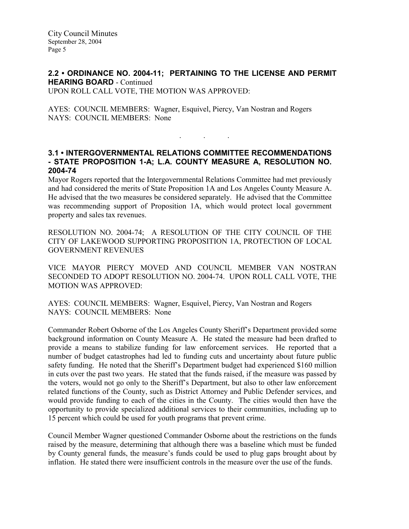City Council Minutes September 28, 2004 Page 5

### 2.2 • ORDINANCE NO. 2004-11; PERTAINING TO THE LICENSE AND PERMIT HEARING BOARD - Continued UPON ROLL CALL VOTE, THE MOTION WAS APPROVED:

AYES: COUNCIL MEMBERS: Wagner, Esquivel, Piercy, Van Nostran and Rogers NAYS: COUNCIL MEMBERS: None

### 3.1 • INTERGOVERNMENTAL RELATIONS COMMITTEE RECOMMENDATIONS - STATE PROPOSITION 1-A; L.A. COUNTY MEASURE A, RESOLUTION NO. 2004-74

. . .

Mayor Rogers reported that the Intergovernmental Relations Committee had met previously and had considered the merits of State Proposition 1A and Los Angeles County Measure A. He advised that the two measures be considered separately. He advised that the Committee was recommending support of Proposition 1A, which would protect local government property and sales tax revenues.

RESOLUTION NO. 2004-74; A RESOLUTION OF THE CITY COUNCIL OF THE CITY OF LAKEWOOD SUPPORTING PROPOSITION 1A, PROTECTION OF LOCAL GOVERNMENT REVENUES

VICE MAYOR PIERCY MOVED AND COUNCIL MEMBER VAN NOSTRAN SECONDED TO ADOPT RESOLUTION NO. 2004-74. UPON ROLL CALL VOTE, THE MOTION WAS APPROVED:

AYES: COUNCIL MEMBERS: Wagner, Esquivel, Piercy, Van Nostran and Rogers NAYS: COUNCIL MEMBERS: None

Commander Robert Osborne of the Los Angeles County Sheriff's Department provided some background information on County Measure A. He stated the measure had been drafted to provide a means to stabilize funding for law enforcement services. He reported that a number of budget catastrophes had led to funding cuts and uncertainty about future public safety funding. He noted that the Sheriff's Department budget had experienced \$160 million in cuts over the past two years. He stated that the funds raised, if the measure was passed by the voters, would not go only to the Sheriff's Department, but also to other law enforcement related functions of the County, such as District Attorney and Public Defender services, and would provide funding to each of the cities in the County. The cities would then have the opportunity to provide specialized additional services to their communities, including up to 15 percent which could be used for youth programs that prevent crime.

Council Member Wagner questioned Commander Osborne about the restrictions on the funds raised by the measure, determining that although there was a baseline which must be funded by County general funds, the measure's funds could be used to plug gaps brought about by inflation. He stated there were insufficient controls in the measure over the use of the funds.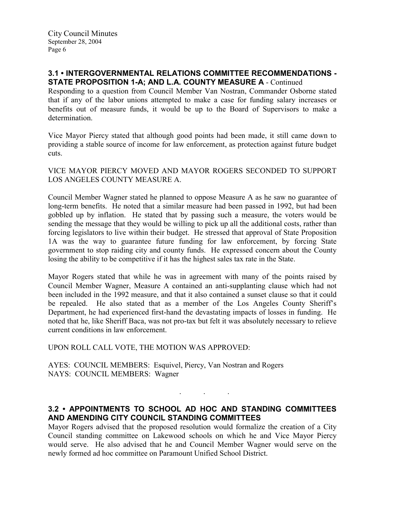### 3.1 • INTERGOVERNMENTAL RELATIONS COMMITTEE RECOMMENDATIONS - STATE PROPOSITION 1-A; AND L.A. COUNTY MEASURE A - Continued

Responding to a question from Council Member Van Nostran, Commander Osborne stated that if any of the labor unions attempted to make a case for funding salary increases or benefits out of measure funds, it would be up to the Board of Supervisors to make a determination.

Vice Mayor Piercy stated that although good points had been made, it still came down to providing a stable source of income for law enforcement, as protection against future budget cuts.

VICE MAYOR PIERCY MOVED AND MAYOR ROGERS SECONDED TO SUPPORT LOS ANGELES COUNTY MEASURE A.

Council Member Wagner stated he planned to oppose Measure A as he saw no guarantee of long-term benefits. He noted that a similar measure had been passed in 1992, but had been gobbled up by inflation. He stated that by passing such a measure, the voters would be sending the message that they would be willing to pick up all the additional costs, rather than forcing legislators to live within their budget. He stressed that approval of State Proposition 1A was the way to guarantee future funding for law enforcement, by forcing State government to stop raiding city and county funds. He expressed concern about the County losing the ability to be competitive if it has the highest sales tax rate in the State.

Mayor Rogers stated that while he was in agreement with many of the points raised by Council Member Wagner, Measure A contained an anti-supplanting clause which had not been included in the 1992 measure, and that it also contained a sunset clause so that it could be repealed. He also stated that as a member of the Los Angeles County Sheriff's Department, he had experienced first-hand the devastating impacts of losses in funding. He noted that he, like Sheriff Baca, was not pro-tax but felt it was absolutely necessary to relieve current conditions in law enforcement.

UPON ROLL CALL VOTE, THE MOTION WAS APPROVED:

AYES: COUNCIL MEMBERS: Esquivel, Piercy, Van Nostran and Rogers NAYS: COUNCIL MEMBERS: Wagner

## 3.2 • APPOINTMENTS TO SCHOOL AD HOC AND STANDING COMMITTEES AND AMENDING CITY COUNCIL STANDING COMMITTEES

. . .

Mayor Rogers advised that the proposed resolution would formalize the creation of a City Council standing committee on Lakewood schools on which he and Vice Mayor Piercy would serve. He also advised that he and Council Member Wagner would serve on the newly formed ad hoc committee on Paramount Unified School District.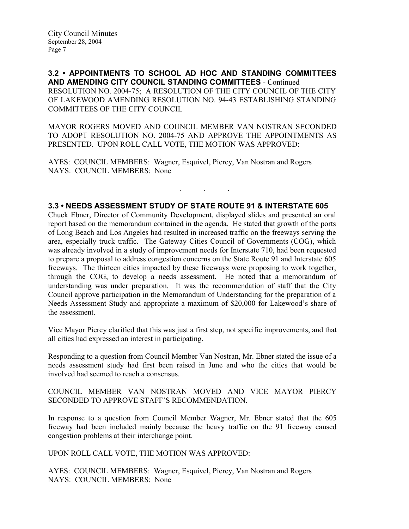3.2 • APPOINTMENTS TO SCHOOL AD HOC AND STANDING COMMITTEES AND AMENDING CITY COUNCIL STANDING COMMITTEES - Continued RESOLUTION NO. 2004-75; A RESOLUTION OF THE CITY COUNCIL OF THE CITY OF LAKEWOOD AMENDING RESOLUTION NO. 94-43 ESTABLISHING STANDING COMMITTEES OF THE CITY COUNCIL

MAYOR ROGERS MOVED AND COUNCIL MEMBER VAN NOSTRAN SECONDED TO ADOPT RESOLUTION NO. 2004-75 AND APPROVE THE APPOINTMENTS AS PRESENTED. UPON ROLL CALL VOTE, THE MOTION WAS APPROVED:

AYES: COUNCIL MEMBERS: Wagner, Esquivel, Piercy, Van Nostran and Rogers NAYS: COUNCIL MEMBERS: None

## 3.3 • NEEDS ASSESSMENT STUDY OF STATE ROUTE 91 & INTERSTATE 605

. . .

Chuck Ebner, Director of Community Development, displayed slides and presented an oral report based on the memorandum contained in the agenda. He stated that growth of the ports of Long Beach and Los Angeles had resulted in increased traffic on the freeways serving the area, especially truck traffic. The Gateway Cities Council of Governments (COG), which was already involved in a study of improvement needs for Interstate 710, had been requested to prepare a proposal to address congestion concerns on the State Route 91 and Interstate 605 freeways. The thirteen cities impacted by these freeways were proposing to work together, through the COG, to develop a needs assessment. He noted that a memorandum of understanding was under preparation. It was the recommendation of staff that the City Council approve participation in the Memorandum of Understanding for the preparation of a Needs Assessment Study and appropriate a maximum of \$20,000 for Lakewood's share of the assessment.

Vice Mayor Piercy clarified that this was just a first step, not specific improvements, and that all cities had expressed an interest in participating.

Responding to a question from Council Member Van Nostran, Mr. Ebner stated the issue of a needs assessment study had first been raised in June and who the cities that would be involved had seemed to reach a consensus.

### COUNCIL MEMBER VAN NOSTRAN MOVED AND VICE MAYOR PIERCY SECONDED TO APPROVE STAFF'S RECOMMENDATION.

In response to a question from Council Member Wagner, Mr. Ebner stated that the 605 freeway had been included mainly because the heavy traffic on the 91 freeway caused congestion problems at their interchange point.

UPON ROLL CALL VOTE, THE MOTION WAS APPROVED:

AYES: COUNCIL MEMBERS: Wagner, Esquivel, Piercy, Van Nostran and Rogers NAYS: COUNCIL MEMBERS: None